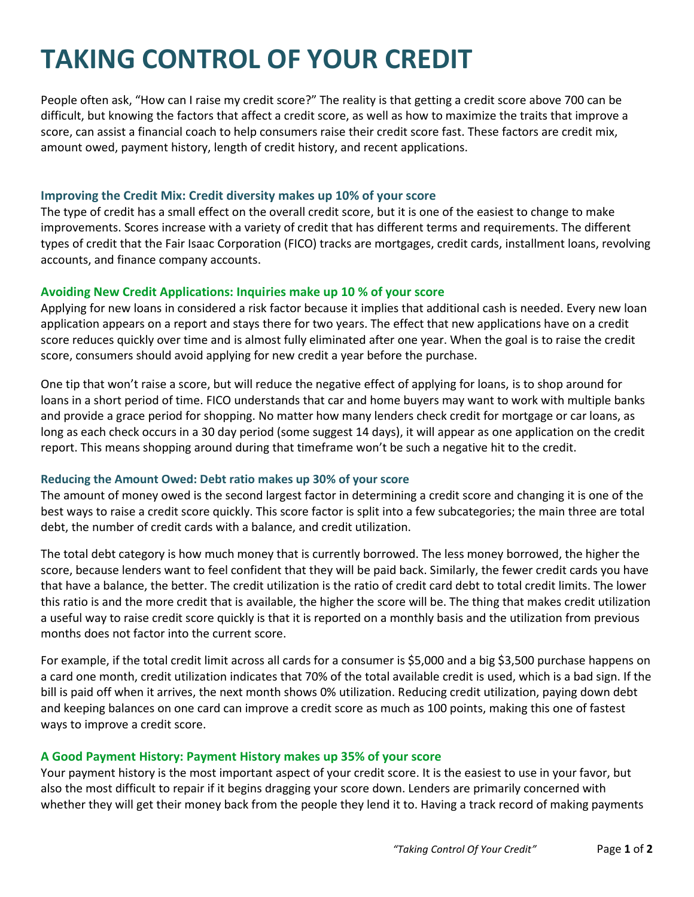# **TAKING CONTROL OF YOUR CREDIT**

People often ask, "How can I raise my credit score?" The reality is that getting a credit score above 700 can be difficult, but knowing the factors that affect a credit score, as well as how to maximize the traits that improve a score, can assist a financial coach to help consumers raise their credit score fast. These factors are credit mix, amount owed, payment history, length of credit history, and recent applications.

#### **Improving the Credit Mix: Credit diversity makes up 10% of your score**

The type of credit has a small effect on the overall credit score, but it is one of the easiest to change to make improvements. Scores increase with a variety of credit that has different terms and requirements. The different types of credit that the Fair Isaac Corporation (FICO) tracks are mortgages, credit cards, installment loans, revolving accounts, and finance company accounts.

## **Avoiding New Credit Applications: Inquiries make up 10 % of your score**

Applying for new loans in considered a risk factor because it implies that additional cash is needed. Every new loan application appears on a report and stays there for two years. The effect that new applications have on a credit score reduces quickly over time and is almost fully eliminated after one year. When the goal is to raise the credit score, consumers should avoid applying for new credit a year before the purchase.

One tip that won't raise a score, but will reduce the negative effect of applying for loans, is to shop around for loans in a short period of time. FICO understands that car and home buyers may want to work with multiple banks and provide a grace period for shopping. No matter how many lenders check credit for mortgage or car loans, as long as each check occurs in a 30 day period (some suggest 14 days), it will appear as one application on the credit report. This means shopping around during that timeframe won't be such a negative hit to the credit.

## **Reducing the Amount Owed: Debt ratio makes up 30% of your score**

The amount of money owed is the second largest factor in determining a credit score and changing it is one of the best ways to raise a credit score quickly. This score factor is split into a few subcategories; the main three are total debt, the number of credit cards with a balance, and credit utilization.

The total debt category is how much money that is currently borrowed. The less money borrowed, the higher the score, because lenders want to feel confident that they will be paid back. Similarly, the fewer credit cards you have that have a balance, the better. The credit utilization is the ratio of credit card debt to total credit limits. The lower this ratio is and the more credit that is available, the higher the score will be. The thing that makes credit utilization a useful way to raise credit score quickly is that it is reported on a monthly basis and the utilization from previous months does not factor into the current score.

For example, if the total credit limit across all cards for a consumer is \$5,000 and a big \$3,500 purchase happens on a card one month, credit utilization indicates that 70% of the total available credit is used, which is a bad sign. If the bill is paid off when it arrives, the next month shows 0% utilization. Reducing credit utilization, paying down debt and keeping balances on one card can improve a credit score as much as 100 points, making this one of fastest ways to improve a credit score.

# **A Good Payment History: Payment History makes up 35% of your score**

Your payment history is the most important aspect of your credit score. It is the easiest to use in your favor, but also the most difficult to repair if it begins dragging your score down. Lenders are primarily concerned with whether they will get their money back from the people they lend it to. Having a track record of making payments